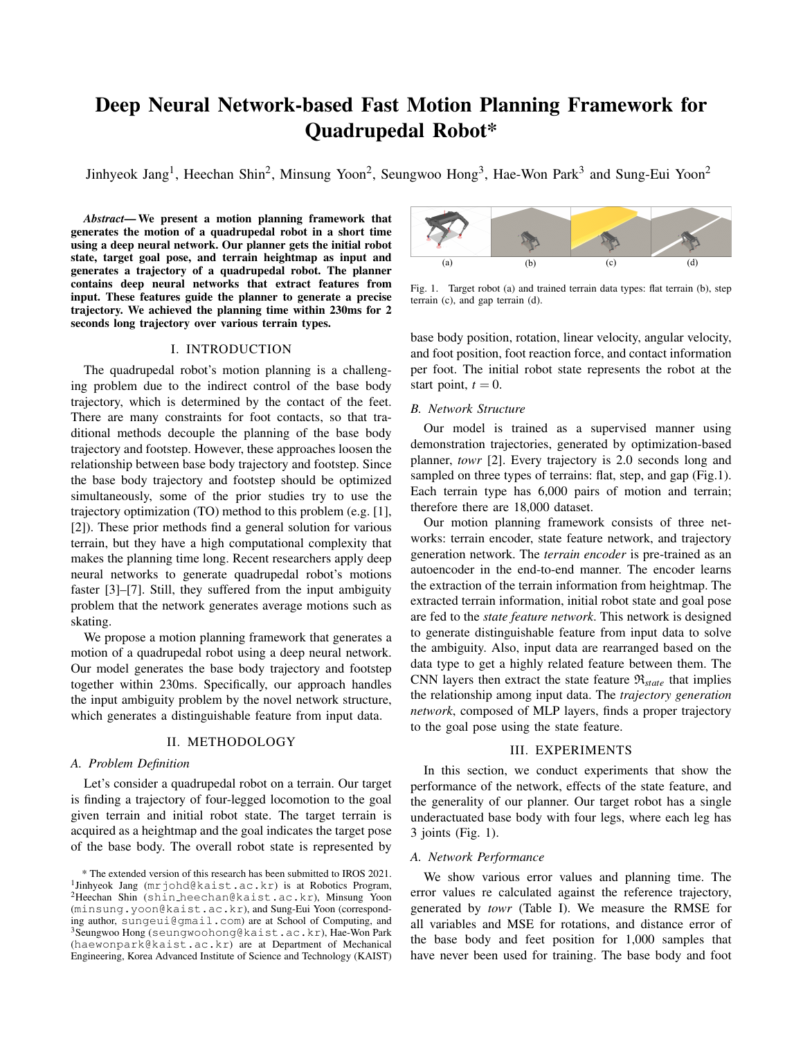# Deep Neural Network-based Fast Motion Planning Framework for Quadrupedal Robot\*

Jinhyeok Jang<sup>1</sup>, Heechan Shin<sup>2</sup>, Minsung Yoon<sup>2</sup>, Seungwoo Hong<sup>3</sup>, Hae-Won Park<sup>3</sup> and Sung-Eui Yoon<sup>2</sup>

*Abstract*— We present a motion planning framework that generates the motion of a quadrupedal robot in a short time using a deep neural network. Our planner gets the initial robot state, target goal pose, and terrain heightmap as input and generates a trajectory of a quadrupedal robot. The planner contains deep neural networks that extract features from input. These features guide the planner to generate a precise trajectory. We achieved the planning time within 230ms for 2 seconds long trajectory over various terrain types.

### I. INTRODUCTION

The quadrupedal robot's motion planning is a challenging problem due to the indirect control of the base body trajectory, which is determined by the contact of the feet. There are many constraints for foot contacts, so that traditional methods decouple the planning of the base body trajectory and footstep. However, these approaches loosen the relationship between base body trajectory and footstep. Since the base body trajectory and footstep should be optimized simultaneously, some of the prior studies try to use the trajectory optimization (TO) method to this problem (e.g. [1], [2]). These prior methods find a general solution for various terrain, but they have a high computational complexity that makes the planning time long. Recent researchers apply deep neural networks to generate quadrupedal robot's motions faster [3]–[7]. Still, they suffered from the input ambiguity problem that the network generates average motions such as skating.

We propose a motion planning framework that generates a motion of a quadrupedal robot using a deep neural network. Our model generates the base body trajectory and footstep together within 230ms. Specifically, our approach handles the input ambiguity problem by the novel network structure, which generates a distinguishable feature from input data.

## II. METHODOLOGY

## *A. Problem Definition*

Let's consider a quadrupedal robot on a terrain. Our target is finding a trajectory of four-legged locomotion to the goal given terrain and initial robot state. The target terrain is acquired as a heightmap and the goal indicates the target pose of the base body. The overall robot state is represented by



Fig. 1. Target robot (a) and trained terrain data types: flat terrain (b), step terrain (c), and gap terrain (d).

base body position, rotation, linear velocity, angular velocity, and foot position, foot reaction force, and contact information per foot. The initial robot state represents the robot at the start point,  $t = 0$ .

## *B. Network Structure*

Our model is trained as a supervised manner using demonstration trajectories, generated by optimization-based planner, *towr* [2]. Every trajectory is 2.0 seconds long and sampled on three types of terrains: flat, step, and gap (Fig.1). Each terrain type has 6,000 pairs of motion and terrain; therefore there are 18,000 dataset.

Our motion planning framework consists of three networks: terrain encoder, state feature network, and trajectory generation network. The *terrain encoder* is pre-trained as an autoencoder in the end-to-end manner. The encoder learns the extraction of the terrain information from heightmap. The extracted terrain information, initial robot state and goal pose are fed to the *state feature network*. This network is designed to generate distinguishable feature from input data to solve the ambiguity. Also, input data are rearranged based on the data type to get a highly related feature between them. The CNN layers then extract the state feature  $\mathcal{R}_{state}$  that implies the relationship among input data. The *trajectory generation network*, composed of MLP layers, finds a proper trajectory to the goal pose using the state feature.

## III. EXPERIMENTS

In this section, we conduct experiments that show the performance of the network, effects of the state feature, and the generality of our planner. Our target robot has a single underactuated base body with four legs, where each leg has 3 joints (Fig. 1).

## *A. Network Performance*

We show various error values and planning time. The error values re calculated against the reference trajectory, generated by *towr* (Table I). We measure the RMSE for all variables and MSE for rotations, and distance error of the base body and feet position for 1,000 samples that have never been used for training. The base body and foot

<sup>\*</sup> The extended version of this research has been submitted to IROS 2021. <sup>1</sup>Jinhyeok Jang (mrjohd@kaist.ac.kr) is at Robotics Program, <sup>2</sup>Heechan Shin (shin heechan@kaist.ac.kr), Minsung Yoon (minsung.yoon@kaist.ac.kr), and Sung-Eui Yoon (corresponding author, sungeui@gmail.com) are at School of Computing, and <sup>3</sup>Seungwoo Hong (seungwoohong@kaist.ac.kr), Hae-Won Park (haewonpark@kaist.ac.kr) are at Department of Mechanical Engineering, Korea Advanced Institute of Science and Technology (KAIST)